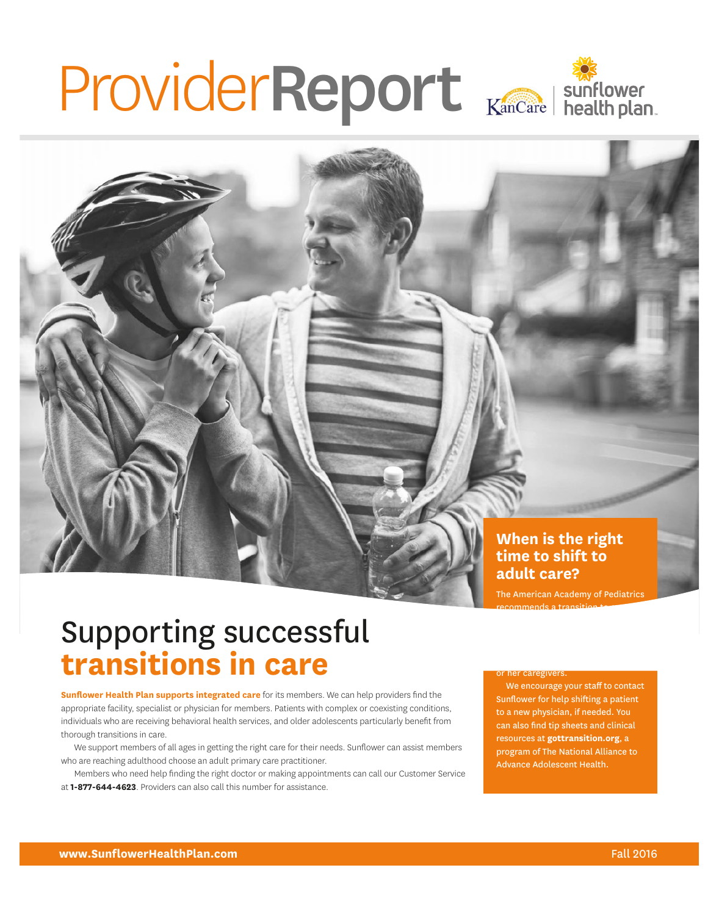# ProviderReport

### **When is the right time to shift to adult care?**

The American Academy of Pediatrics recommends a transition  $\overline{\phantom{a}}$ 

### Supporting successful **transitions in care**

**Sunflower Health Plan supports integrated care** for its members. We can help providers find the appropriate facility, specialist or physician for members. Patients with complex or coexisting conditions, individuals who are receiving behavioral health services, and older adolescents particularly benefit from thorough transitions in care.

We support members of all ages in getting the right care for their needs. Sunflower can assist members who are reaching adulthood choose an adult primary care practitioner.

Members who need help finding the right doctor or making appointments can call our Customer Service at **1-877-644-4623**. Providers can also call this number for assistance.

or her caregivers.

We encourage your staff to contact Sunflower for help shifting a patient to a new physician, if needed. You can also find tip sheets and clinical resources at **[gottransition.org](http://www.gottransition.org)**, a program of The National Alliance to Advance Adolescent Health.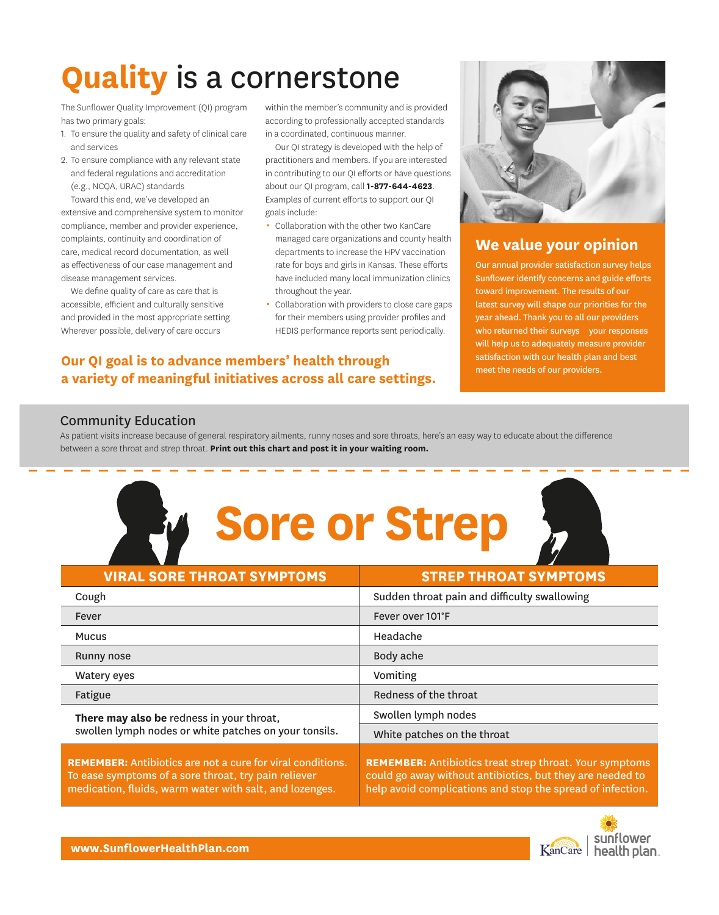# **Quality** is a cornerstone

The Sunflower Quality Improvement (QI) program has two primary goals:

- 1. To ensure the quality and safety of clinical care and services
- 2. To ensure compliance with any relevant state and federal regulations and accreditation (e.g., NCQA, URAC) standards

Toward this end, we've developed an extensive and comprehensive system to monitor compliance, member and provider experience, complaints, continuity and coordination of care, medical record documentation, as well as effectiveness of our case management and disease management services.

We define quality of care as care that is accessible, efficient and culturally sensitive and provided in the most appropriate setting. Wherever possible, delivery of care occurs

within the member's community and is provided according to professionally accepted standards in a coordinated, continuous manner.

Our QI strategy is developed with the help of practitioners and members. If you are interested in contributing to our QI efforts or have questions about our QI program, call **1-877-644-4623**. Examples of current efforts to support our QI goals include:

- Collaboration with the other two KanCare managed care organizations and county health departments to increase the HPV vaccination rate for boys and girls in Kansas. These efforts have included many local immunization clinics throughout the year.
- Collaboration with providers to close care gaps for their members using provider profiles and HEDIS performance reports sent periodically.

### **Our QI goal is to advance members' health through a variety of meaningful initiatives across all care settings.**



### **We value your opinion**

who returned their surveys your responses Our annual provider satisfaction survey helps Sunflower identify concerns and guide efforts toward improvement. The results of our latest survey will shape our priorities for the year ahead. Thank you to all our providers will help us to adequately measure provider satisfaction with our health plan and best meet the needs of our providers.

### Community Education

As patient visits increase because of general respiratory ailments, runny noses and sore throats, here's an easy way to educate about the difference between a sore throat and strep throat. **Print out this chart and post it in your waiting room.** 

| <b>Sore or Strep</b>                                                                                                                                                                 |                                                                                                                                                                                           |
|--------------------------------------------------------------------------------------------------------------------------------------------------------------------------------------|-------------------------------------------------------------------------------------------------------------------------------------------------------------------------------------------|
| <b>VIRAL SORE THROAT SYMPTOMS</b>                                                                                                                                                    | <b>STREP THROAT SYMPTOMS</b>                                                                                                                                                              |
| Cough                                                                                                                                                                                | Sudden throat pain and difficulty swallowing                                                                                                                                              |
| Fever                                                                                                                                                                                | Fever over 101°F                                                                                                                                                                          |
| Mucus                                                                                                                                                                                | Headache                                                                                                                                                                                  |
| Runny nose                                                                                                                                                                           | Body ache                                                                                                                                                                                 |
| <b>Watery eyes</b>                                                                                                                                                                   | Vomiting                                                                                                                                                                                  |
| Fatigue                                                                                                                                                                              | Redness of the throat                                                                                                                                                                     |
| There may also be redness in your throat,<br>swollen lymph nodes or white patches on your tonsils.                                                                                   | Swollen lymph nodes                                                                                                                                                                       |
|                                                                                                                                                                                      | White patches on the throat                                                                                                                                                               |
| <b>REMEMBER:</b> Antibiotics are not a cure for viral conditions.<br>To ease symptoms of a sore throat, try pain reliever<br>medication, fluids, warm water with salt, and lozenges. | <b>REMEMBER: Antibiotics treat strep throat. Your symptoms</b><br>could go away without antibiotics, but they are needed to<br>help avoid complications and stop the spread of infection. |

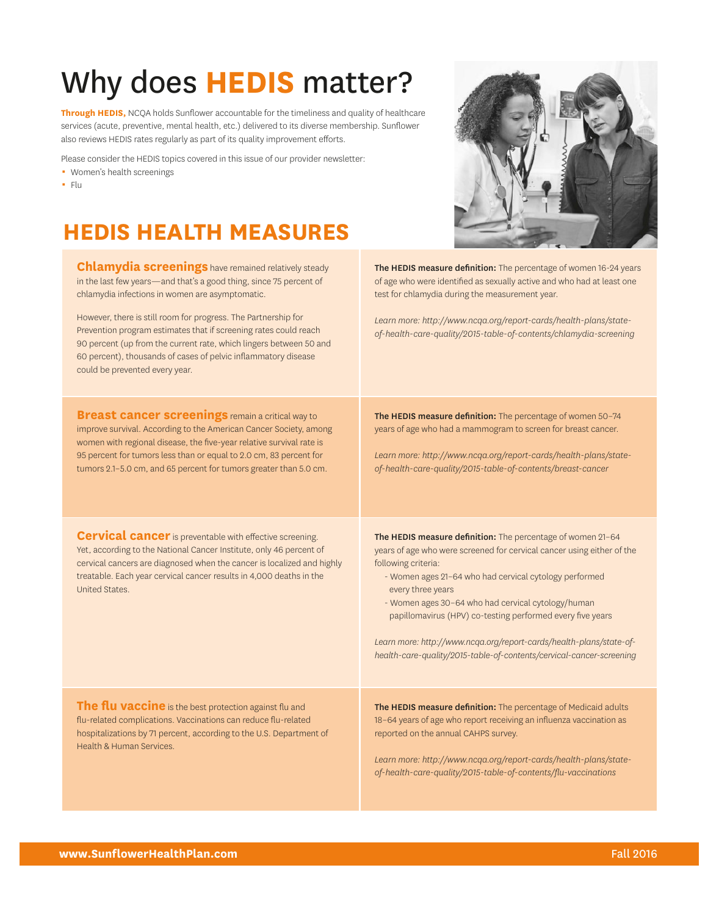# Why does **HEDIS** matter?

**Through HEDIS,** NCQA holds Sunflower accountable for the timeliness and quality of healthcare services (acute, preventive, mental health, etc.) delivered to its diverse membership. Sunflower also reviews HEDIS rates regularly as part of its quality improvement efforts.

Please consider the HEDIS topics covered in this issue of our provider newsletter:

- Women's health screenings
- $-$  Flu

### **HEDIS HEALTH MEASURES**

**Chlamydia screenings** have remained relatively steady in the last few years—and that's a good thing, since 75 percent of chlamydia infections in women are asymptomatic.

However, there is still room for progress. The Partnership for Prevention program estimates that if screening rates could reach 90 percent (up from the current rate, which lingers between 50 and 60 percent), thousands of cases of pelvic inflammatory disease could be prevented every year.

**Breast cancer screenings** remain a critical way to improve survival. According to the American Cancer Society, among women with regional disease, the five-year relative survival rate is 95 percent for tumors less than or equal to 2.0 cm, 83 percent for tumors 2.1–5.0 cm, and 65 percent for tumors greater than 5.0 cm.

**Cervical cancer** is preventable with effective screening. Yet, according to the National Cancer Institute, only 46 percent of cervical cancers are diagnosed when the cancer is localized and highly treatable. Each year cervical cancer results in 4,000 deaths in the United States.



The HEDIS measure definition: The percentage of women 16-24 years of age who were identified as sexually active and who had at least one test for chlamydia during the measurement year.

*Learn more: [http://www.ncqa.org/report-cards/health-plans/state](http://www.ncqa.org/report-cards/health-plans/state-of-health-care-quality/2015-table-of-contents/chlamydia-screening)[of-health-care-quality/2015-table-of-contents/chlamydia-screening](http://www.ncqa.org/report-cards/health-plans/state-of-health-care-quality/2015-table-of-contents/chlamydia-screening)* 

The HEDIS measure definition: The percentage of women 50-74 years of age who had a mammogram to screen for breast cancer.

*Learn more: [http://www.ncqa.org/report-cards/health-plans/state](http://www.ncqa.org/report-cards/health-plans/state-of-health-care-quality/2015-table-of-contents/breast-cancer)[of-health-care-quality/2015-table-of-contents/breast-cancer](http://www.ncqa.org/report-cards/health-plans/state-of-health-care-quality/2015-table-of-contents/breast-cancer)* 

The HEDIS measure definition: The percentage of women 21-64 years of age who were screened for cervical cancer using either of the following criteria:

- Women ages 21–64 who had cervical cytology performed every three years
- Women ages 30–64 who had cervical cytology/human papillomavirus (HPV) co-testing performed every five years

*Learn more: [http://www.ncqa.org/report-cards/health-plans/state-of](http://www.ncqa.org/report-cards/health-plans/state-of-health-care-quality/2015-table-of-contents/cervical-cancer-screening)[health-care-quality/2015-table-of-contents/cervical-cancer-screening](http://www.ncqa.org/report-cards/health-plans/state-of-health-care-quality/2015-table-of-contents/cervical-cancer-screening)* 

**The flu vaccine** is the best protection against flu and flu-related complications. Vaccinations can reduce flu-related hospitalizations by 71 percent, according to the U.S. Department of Health & Human Services.

The HEDIS measure definition: The percentage of Medicaid adults 18–64 years of age who report receiving an influenza vaccination as reported on the annual CAHPS survey.

*Learn more: [http://www.ncqa.org/report-cards/health-plans/state](http://www.ncqa.org/report-cards/health-plans/state-of-health-care-quality/2015-table-of-contents/flu-vaccinations)[of-health-care-quality/2015-table-of-contents/flu-vaccinations](http://www.ncqa.org/report-cards/health-plans/state-of-health-care-quality/2015-table-of-contents/flu-vaccinations)*